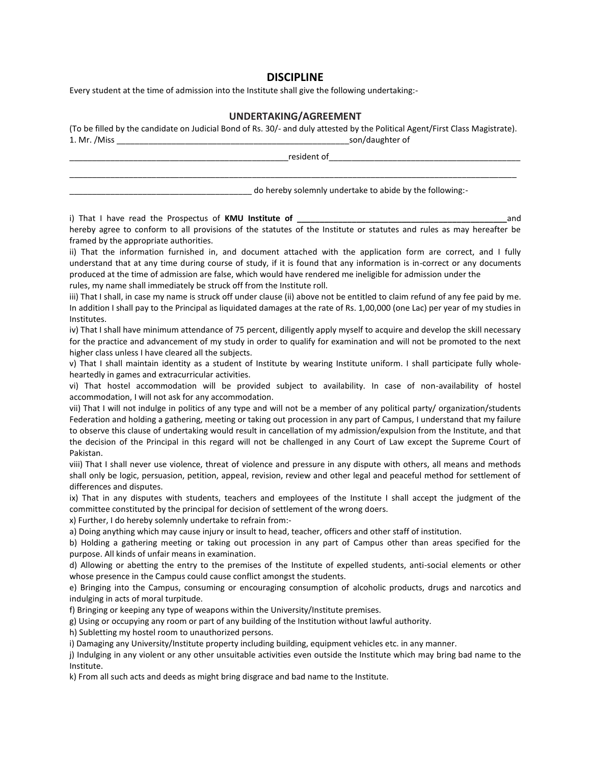## **DISCIPLINE**

Every student at the time of admission into the Institute shall give the following undertaking:-

## **UNDERTAKING/AGREEMENT**

|              | (To be filled by the candidate on Judicial Bond of Rs. 30/- and duly attested by the Political Agent/First Class Magistrate). |
|--------------|-------------------------------------------------------------------------------------------------------------------------------|
| 1. Mr. /Miss | son/daughter of                                                                                                               |

| resident of the contract of the contract of the contract of the contract of the contract of the contract of the contract of the contract of the contract of the contract of the contract of the contract of the contract of th                                                                                                                                                                                                       |  |
|--------------------------------------------------------------------------------------------------------------------------------------------------------------------------------------------------------------------------------------------------------------------------------------------------------------------------------------------------------------------------------------------------------------------------------------|--|
| do hereby solemnly undertake to abide by the following:-                                                                                                                                                                                                                                                                                                                                                                             |  |
| i) That I have read the Prospectus of KMU Institute of _________________________<br>and                                                                                                                                                                                                                                                                                                                                              |  |
| hereby agree to conform to all provisions of the statutes of the Institute or statutes and rules as may hereafter be<br>framed by the appropriate authorities.                                                                                                                                                                                                                                                                       |  |
| ii) That the information furnished in, and document attached with the application form are correct, and I fully<br>understand that at any time during course of study, if it is found that any information is in-correct or any documents<br>produced at the time of admission are false, which would have rendered me ineligible for admission under the<br>rules, my name shall immediately be struck off from the Institute roll. |  |
| iii) That I shall, in case my name is struck off under clause (ii) above not be entitled to claim refund of any fee paid by me.<br>In addition I shall pay to the Principal as liquidated damages at the rate of Rs. 1,00,000 (one Lac) per year of my studies in<br>Institutes.                                                                                                                                                     |  |
| iv) That I shall have minimum attendance of 75 percent, diligently apply myself to acquire and develop the skill necessary<br>for the practice and advancement of my study in order to qualify for examination and will not be promoted to the next<br>higher class unless I have cleared all the subjects.                                                                                                                          |  |
| v) That I shall maintain identity as a student of Institute by wearing Institute uniform. I shall participate fully whole-<br>heartedly in games and extracurricular activities.                                                                                                                                                                                                                                                     |  |
| vi) That hostel accommodation will be provided subject to availability. In case of non-availability of hostel<br>accommodation, I will not ask for any accommodation.                                                                                                                                                                                                                                                                |  |

vii) That I will not indulge in politics of any type and will not be a member of any political party/ organization/students Federation and holding a gathering, meeting or taking out procession in any part of Campus, I understand that my failure to observe this clause of undertaking would result in cancellation of my admission/expulsion from the Institute, and that the decision of the Principal in this regard will not be challenged in any Court of Law except the Supreme Court of Pakistan.

viii) That I shall never use violence, threat of violence and pressure in any dispute with others, all means and methods shall only be logic, persuasion, petition, appeal, revision, review and other legal and peaceful method for settlement of differences and disputes.

ix) That in any disputes with students, teachers and employees of the Institute I shall accept the judgment of the committee constituted by the principal for decision of settlement of the wrong doers.

x) Further, I do hereby solemnly undertake to refrain from:-

a) Doing anything which may cause injury or insult to head, teacher, officers and other staff of institution.

b) Holding a gathering meeting or taking out procession in any part of Campus other than areas specified for the purpose. All kinds of unfair means in examination.

d) Allowing or abetting the entry to the premises of the Institute of expelled students, anti-social elements or other whose presence in the Campus could cause conflict amongst the students.

e) Bringing into the Campus, consuming or encouraging consumption of alcoholic products, drugs and narcotics and indulging in acts of moral turpitude.

f) Bringing or keeping any type of weapons within the University/Institute premises.

g) Using or occupying any room or part of any building of the Institution without lawful authority.

h) Subletting my hostel room to unauthorized persons.

i) Damaging any University/Institute property including building, equipment vehicles etc. in any manner.

j) Indulging in any violent or any other unsuitable activities even outside the Institute which may bring bad name to the Institute.

k) From all such acts and deeds as might bring disgrace and bad name to the Institute.